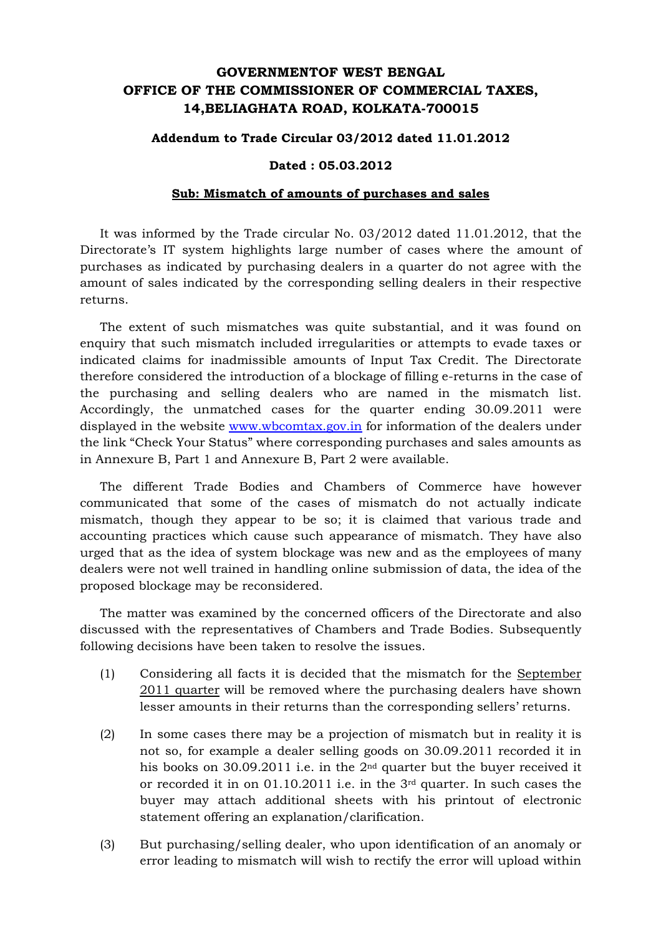## **GOVERNMENTOF WEST BENGAL OFFICE OF THE COMMISSIONER OF COMMERCIAL TAXES, 14,BELIAGHATA ROAD, KOLKATA-700015**

## **Addendum to Trade Circular 03/2012 dated 11.01.2012**

## **Dated : 05.03.2012**

## **Sub: Mismatch of amounts of purchases and sales**

It was informed by the Trade circular No. 03/2012 dated 11.01.2012, that the Directorate's IT system highlights large number of cases where the amount of purchases as indicated by purchasing dealers in a quarter do not agree with the amount of sales indicated by the corresponding selling dealers in their respective returns.

The extent of such mismatches was quite substantial, and it was found on enquiry that such mismatch included irregularities or attempts to evade taxes or indicated claims for inadmissible amounts of Input Tax Credit. The Directorate therefore considered the introduction of a blockage of filling e-returns in the case of the purchasing and selling dealers who are named in the mismatch list. Accordingly, the unmatched cases for the quarter ending 30.09.2011 were displayed in the website www.wbcomtax.gov.in for information of the dealers under the link "Check Your Status" where corresponding purchases and sales amounts as in Annexure B, Part 1 and Annexure B, Part 2 were available.

The different Trade Bodies and Chambers of Commerce have however communicated that some of the cases of mismatch do not actually indicate mismatch, though they appear to be so; it is claimed that various trade and accounting practices which cause such appearance of mismatch. They have also urged that as the idea of system blockage was new and as the employees of many dealers were not well trained in handling online submission of data, the idea of the proposed blockage may be reconsidered.

The matter was examined by the concerned officers of the Directorate and also discussed with the representatives of Chambers and Trade Bodies. Subsequently following decisions have been taken to resolve the issues.

- (1) Considering all facts it is decided that the mismatch for the September 2011 quarter will be removed where the purchasing dealers have shown lesser amounts in their returns than the corresponding sellers' returns.
- (2) In some cases there may be a projection of mismatch but in reality it is not so, for example a dealer selling goods on 30.09.2011 recorded it in his books on 30.09.2011 i.e. in the 2nd quarter but the buyer received it or recorded it in on 01.10.2011 i.e. in the 3rd quarter. In such cases the buyer may attach additional sheets with his printout of electronic statement offering an explanation/clarification.
- (3) But purchasing/selling dealer, who upon identification of an anomaly or error leading to mismatch will wish to rectify the error will upload within